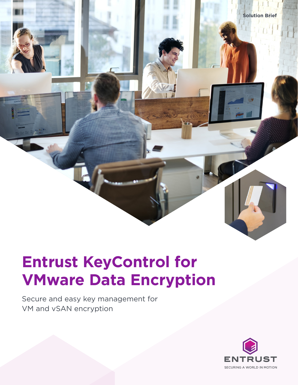

# **Entrust KeyControl for VMware Data Encryption**

Secure and easy key management for VM and vSAN encryption

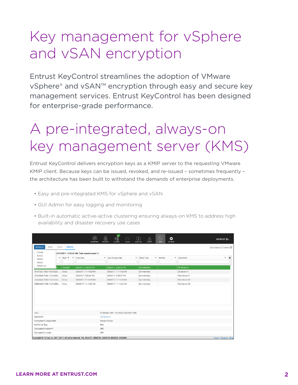# Key management for vSphere and vSAN encryption

Entrust KeyControl streamlines the adoption of VMware vSphere® and vSAN™ encryption through easy and secure key management services. Entrust KeyControl has been designed for enterprise-grade performance.

## A pre-integrated, always-on key management server (KMS) vSAN Encryption

Entrust KeyControl delivers encryption keys as a KMIP server to the requesting VMware mate they control streamlines the sphere may be seen in the control of the requentity of the adoption of  $\mathbb{R}^n$ the architecture has been built to withstand the demands of enterprise deployments. ence the consequence is the secure through the secure through the services. Hyperstanding services in the services of the consequences. Hyperstanding the consequence of the consequence of the consequence of the consequence

- Easy and pre-integrated KMS for vSphere and vSAN
- GUI Admin for easy logging and monitoring  $\mathcal{L}^{\mathcal{A}}$  consideration. Because keys can be issued, and revoked, and re-issued—and re-issued—and re-issued—and re-issued—and revoked, and revoked, and revoked, and revoked, and revoked, and revoked, and revoked, an
- Built-in automatic active-active clustering ensuring always-on KMS to address high availability and disaster recovery use cases

| Activate<br>Archive                                                                                |              | t 9/14/2017, 11:05:31 AM. Total objects loaded: 5 |                       |                 |                                      |  |               |              |  |                |                          |
|----------------------------------------------------------------------------------------------------|--------------|---------------------------------------------------|-----------------------|-----------------|--------------------------------------|--|---------------|--------------|--|----------------|--------------------------|
| Destroy                                                                                            | $\checkmark$ | State ·                                           | v Initial Date        |                 | v Last Change Date                   |  | v Object Type | v Identifier |  | v Description  | $\equiv$<br>$\checkmark$ |
| Revoke<br>Refresh List                                                                             |              |                                                   |                       |                 |                                      |  |               |              |  |                |                          |
|                                                                                                    | $2 - $       | PreActive                                         | 8/8/2017, 2:59:24 PM  |                 | 8/8/2017, 2:59:24 PM                 |  | SymmetricKey  |              |  | File Server 01 |                          |
| 6f797505-7c65-11e7-b552-                                                                           |              | Active                                            | 8/8/2017, 11:14:36 AM |                 | 8/8/2017, 11:14:36 AM                |  | SymmetricKey  |              |  | DB server 01   |                          |
| d72a56d6-7c84-11e7-b552-                                                                           |              | Active                                            | 8/8/2017, 2:59:24 PM  |                 | 8/8/2017, 2:59:27 PM                 |  | SymmetricKey  |              |  | Web Server 01  |                          |
| 5beb8a5d-7c65-11e7-b552-                                                                           |              | Active                                            | 8/8/2017, 11:14:03 AM |                 | 8/8/2017, 11:14:03 AM                |  | SymmetricKey  |              |  | Web Server 02  |                          |
| 68864260-7c65-11e7-b552-                                                                           |              |                                                   |                       |                 |                                      |  |               |              |  |                |                          |
|                                                                                                    |              | Active                                            | 8/8/2017, 11:14:24 AM |                 | 8/8/2017, 11:14:24 AM                |  | SymmetricKey  |              |  | Web Server 03  |                          |
|                                                                                                    |              |                                                   |                       |                 | d70d4aaa-7c84-11e7-b552-005056b77085 |  |               |              |  |                |                          |
|                                                                                                    |              |                                                   |                       | File Server 01  |                                      |  |               |              |  |                |                          |
|                                                                                                    |              |                                                   |                       | Decrypt Encrypt |                                      |  |               |              |  |                |                          |
|                                                                                                    |              |                                                   |                       | Raw             |                                      |  |               |              |  |                |                          |
| UUID:<br>Description:<br>Cryptographic Usage Mask:<br>Key Format Type:<br>Cryptographic Algorithm: |              |                                                   |                       | AES             |                                      |  |               |              |  |                |                          |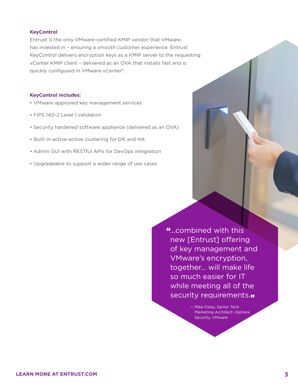### **KeyControl**

Entrust is the only VMware-certified KMIP vendor that VMware has invested in – ensuring a smooth customer experience. Entrust KeyControl delivers encryption keys as a KMIP server to the requesting vCenter KMIP client – delivered as an OVA that installs fast and is quickly configured in VMware vCenter®.

### **KeyControl includes:**

- VMware-approved key management services
- FIPS 140-2 Level 1 validation
- Security hardened software appliance (delivered as an OVA)
- Built-in active-active clustering for DR and HA
- Admin GUI with RESTful APIs for DevOps integration
- Upgradeable to support a wider range of use cases

"…combined with this new [Entrust] offering of key management and VMware's encryption, together… will make life so much easier for IT while meeting all of the security requirements.

> — Mike Foley, Senior Tech Marketing Architect vSphere Security, VMware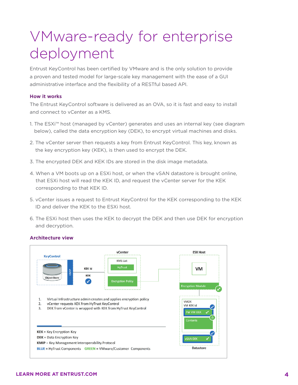# VMware-ready for enterprise deployment

Entrust KeyControl has been certified by VMware and is the only solution to provide a proven and tested model for large-scale key management with the ease of a GUI administrative interface and the flexibility of a RESTful based API.

#### **How it works** ease of a GUI administrative interface and the flexibility of a REST function of a REST  $\alpha$

The Entrust KeyControl software is delivered as an OVA, so it is fast and easy to install and connect to vCenter as a KMS.

- 1. The ESXi<sup>™</sup> host (managed by vCenter) generates and uses an internal key (see diagram below), called the data encryption key (DEK), to encrypt virtual machines and disks. extends to install and connect to vertex and the value of the connection  $\frac{1}{2}$
- 2. The vCenter server then requests a key from Entrust KeyControl. This key, known as the key encryption key (KEK), is then used to encrypt the DEK.
- 3. The encrypted DEK and KEK IDs are stored in the disk image metadata. 2. The vCenter server then requests a key from HyTrust KeyControl. This key, The encrypted DEK and KEK (Ds are stored in the disk image metadata.
- 4. When a VM boots up on a ESXi host, or when the vSAN datastore is brought online, that ESXi host will read the KEK ID, and request the vCenter server for the KEK corresponding to that KEK ID. **Example 10** and read the vCenter server server server server server server server for the KEK corresponding to that KEK id.
- 5. vCenter issues a request to Entrust KeyControl for the KEK corresponding to the KEK ID and deliver the KEK to the ESXi host.
- 6. The ESXi host then uses the KEK to decrypt the DEK and then use DEK for encryption and decryption. 6.The ESXi host then uses the KEK to decrypt the DEK and then use DEK Fine ESAI nost then uses the KE



## **Architecture view** Architecture View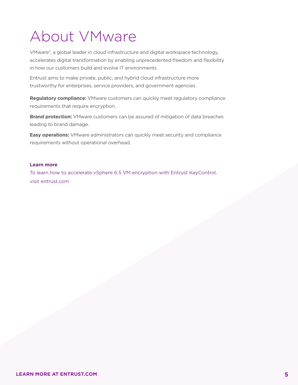# About VMware

VMware®, a global leader in cloud infrastructure and digital workspace technology, accelerates digital transformation by enabling unprecedented freedom and flexibility in how our customers build and evolve IT environments.

Entrust aims to make private, public, and hybrid cloud infrastructure more trustworthy for enterprises, service providers, and government agencies.

**Regulatory compliance:** VMware customers can quickly meet regulatory compliance requirements that require encryption.

**Brand protection:** VMware customers can be assured of mitigation of data breaches leading to brand damage.

**Easy operations:** VMware administrators can quickly meet security and compliance requirements without operational overhead.

### **Learn more**

To learn how to accelerate vSphere 6.5 VM encryption with Entrust KeyControl, visit entrust.com